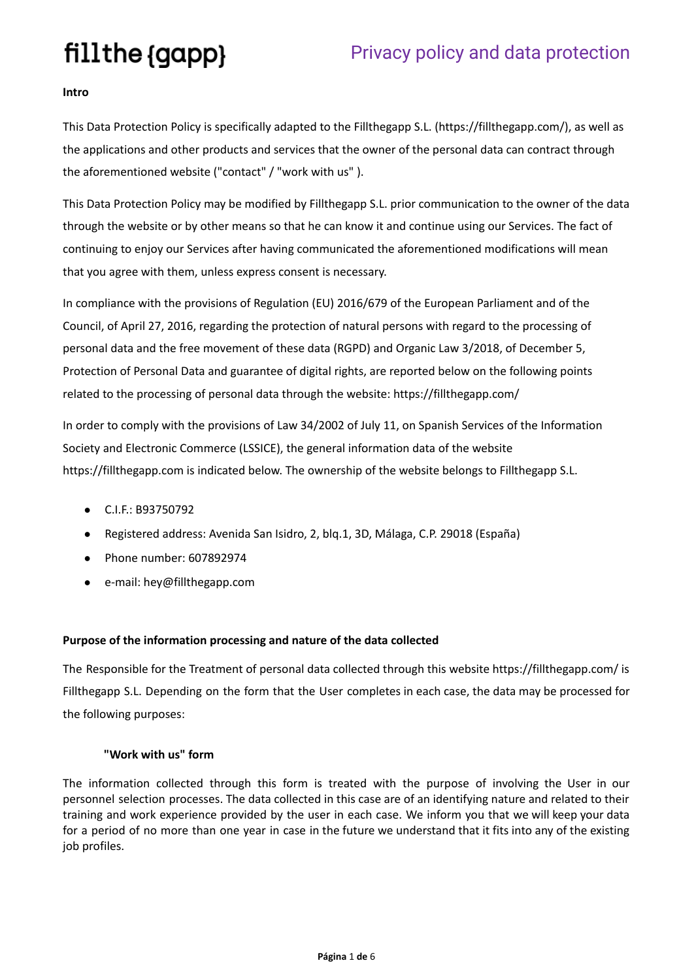### **Intro**

This Data Protection Policy is specifically adapted to the Fillthegapp S.L. (https://fillthegapp.com/), as well as the applications and other products and services that the owner of the personal data can contract through the aforementioned website ("contact" / "work with us" ).

This Data Protection Policy may be modified by Fillthegapp S.L. prior communication to the owner of the data through the website or by other means so that he can know it and continue using our Services. The fact of continuing to enjoy our Services after having communicated the aforementioned modifications will mean that you agree with them, unless express consent is necessary.

In compliance with the provisions of Regulation (EU) 2016/679 of the European Parliament and of the Council, of April 27, 2016, regarding the protection of natural persons with regard to the processing of personal data and the free movement of these data (RGPD) and Organic Law 3/2018, of December 5, Protection of Personal Data and guarantee of digital rights, are reported below on the following points related to the processing of personal data through the website: https://fillthegapp.com/

In order to comply with the provisions of Law 34/2002 of July 11, on Spanish Services of the Information Society and Electronic Commerce (LSSICE), the general information data of the website https://fillthegapp.com is indicated below. The ownership of the website belongs to Fillthegapp S.L.

- C.I.F.: B93750792
- Registered address: Avenida San Isidro, 2, blq.1, 3D, Málaga, C.P. 29018 (España)
- Phone number: 607892974
- e-mail: hey[@fillthegapp.com](mailto:davidsmt@fillthegapp.com)

### **Purpose of the information processing and nature of the data collected**

The Responsible for the Treatment of personal data collected through this website https://fillthegapp.com/ is Fillthegapp S.L. Depending on the form that the User completes in each case, the data may be processed for the following purposes:

### **"Work with us" form**

The information collected through this form is treated with the purpose of involving the User in our personnel selection processes. The data collected in this case are of an identifying nature and related to their training and work experience provided by the user in each case. We inform you that we will keep your data for a period of no more than one year in case in the future we understand that it fits into any of the existing job profiles.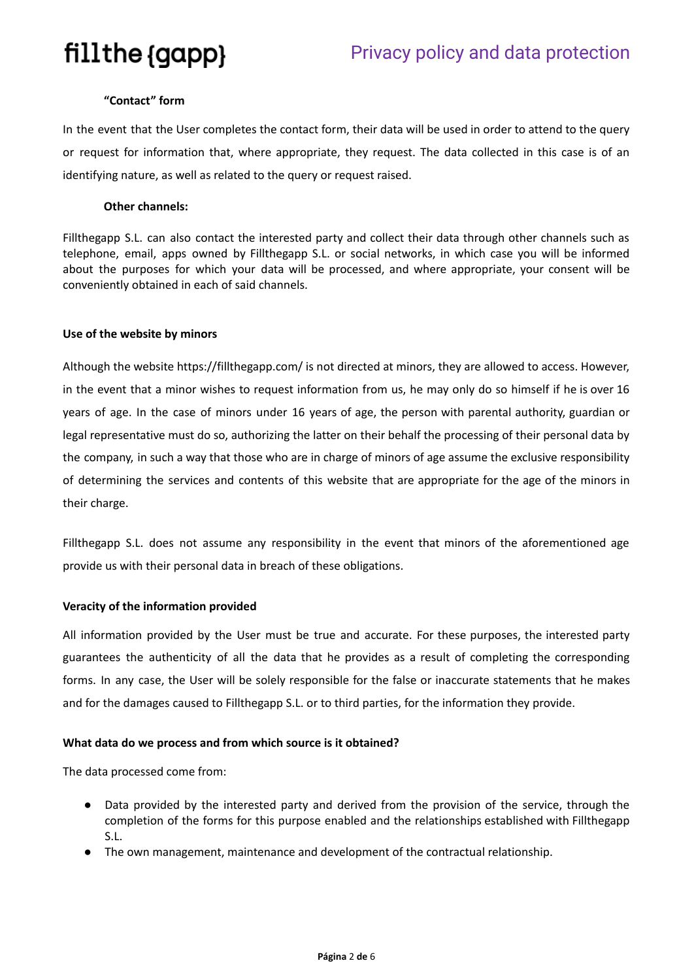### **"Contact" form**

In the event that the User completes the contact form, their data will be used in order to attend to the query or request for information that, where appropriate, they request. The data collected in this case is of an identifying nature, as well as related to the query or request raised.

### **Other channels:**

Fillthegapp S.L. can also contact the interested party and collect their data through other channels such as telephone, email, apps owned by Fillthegapp S.L. or social networks, in which case you will be informed about the purposes for which your data will be processed, and where appropriate, your consent will be conveniently obtained in each of said channels.

### **Use of the website by minors**

Although the website https://fillthegapp.com/ is not directed at minors, they are allowed to access. However, in the event that a minor wishes to request information from us, he may only do so himself if he is over 16 years of age. In the case of minors under 16 years of age, the person with parental authority, guardian or legal representative must do so, authorizing the latter on their behalf the processing of their personal data by the company, in such a way that those who are in charge of minors of age assume the exclusive responsibility of determining the services and contents of this website that are appropriate for the age of the minors in their charge.

Fillthegapp S.L. does not assume any responsibility in the event that minors of the aforementioned age provide us with their personal data in breach of these obligations.

### **Veracity of the information provided**

All information provided by the User must be true and accurate. For these purposes, the interested party guarantees the authenticity of all the data that he provides as a result of completing the corresponding forms. In any case, the User will be solely responsible for the false or inaccurate statements that he makes and for the damages caused to Fillthegapp S.L. or to third parties, for the information they provide.

### **What data do we process and from which source is it obtained?**

The data processed come from:

- Data provided by the interested party and derived from the provision of the service, through the completion of the forms for this purpose enabled and the relationships established with Fillthegapp S.L.
- The own management, maintenance and development of the contractual relationship.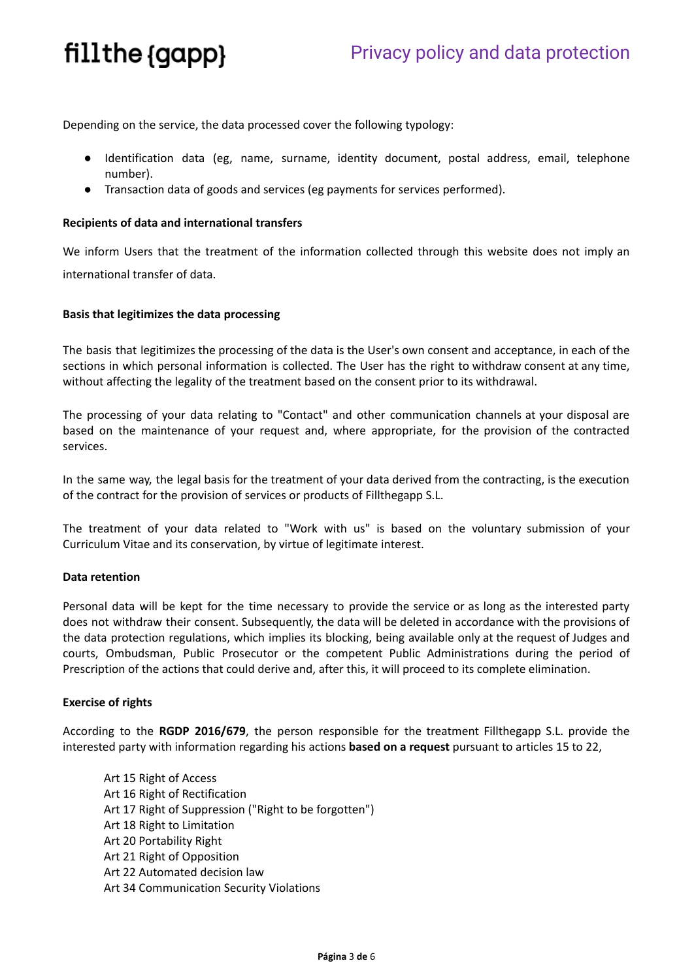Depending on the service, the data processed cover the following typology:

- Identification data (eg, name, surname, identity document, postal address, email, telephone number).
- Transaction data of goods and services (eg payments for services performed).

### **Recipients of data and international transfers**

We inform Users that the treatment of the information collected through this website does not imply an international transfer of data.

### **Basis that legitimizes the data processing**

The basis that legitimizes the processing of the data is the User's own consent and acceptance, in each of the sections in which personal information is collected. The User has the right to withdraw consent at any time, without affecting the legality of the treatment based on the consent prior to its withdrawal.

The processing of your data relating to "Contact" and other communication channels at your disposal are based on the maintenance of your request and, where appropriate, for the provision of the contracted services.

In the same way, the legal basis for the treatment of your data derived from the contracting, is the execution of the contract for the provision of services or products of Fillthegapp S.L.

The treatment of your data related to "Work with us" is based on the voluntary submission of your Curriculum Vitae and its conservation, by virtue of legitimate interest.

### **Data retention**

Personal data will be kept for the time necessary to provide the service or as long as the interested party does not withdraw their consent. Subsequently, the data will be deleted in accordance with the provisions of the data protection regulations, which implies its blocking, being available only at the request of Judges and courts, Ombudsman, Public Prosecutor or the competent Public Administrations during the period of Prescription of the actions that could derive and, after this, it will proceed to its complete elimination.

### **Exercise of rights**

According to the **RGDP 2016/679**, the person responsible for the treatment Fillthegapp S.L. provide the interested party with information regarding his actions **based on a request** pursuant to articles 15 to 22,

Art 15 Right of Access Art 16 Right of Rectification Art 17 Right of Suppression ("Right to be forgotten") Art 18 Right to Limitation Art 20 Portability Right Art 21 Right of Opposition Art 22 Automated decision law Art 34 Communication Security Violations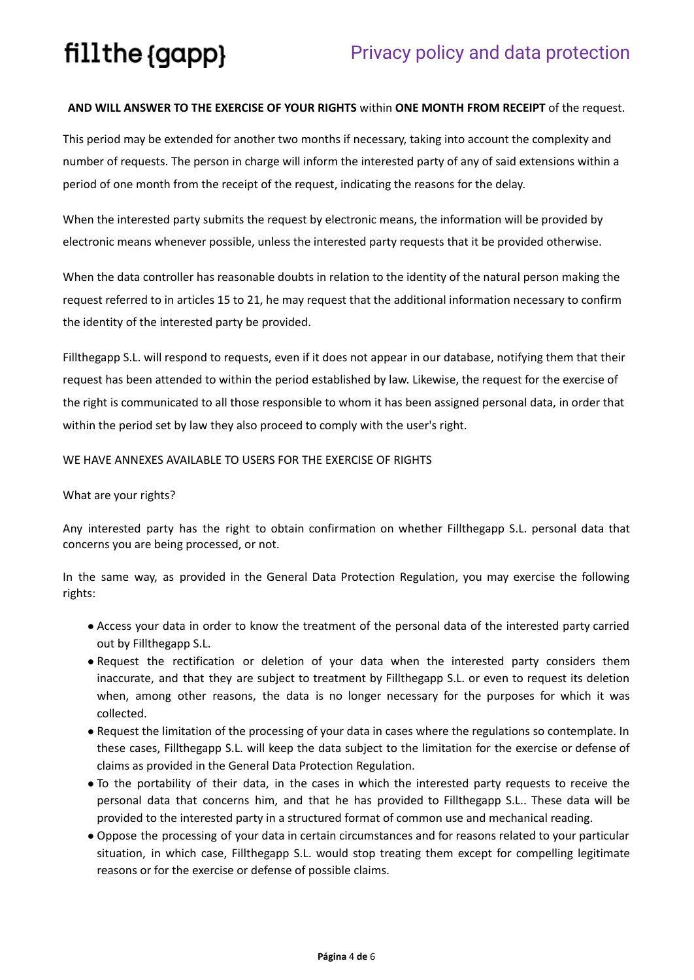### **AND WILL ANSWER TO THE EXERCISE OF YOUR RIGHTS** within **ONE MONTH FROM RECEIPT** of the request.

This period may be extended for another two months if necessary, taking into account the complexity and number of requests. The person in charge will inform the interested party of any of said extensions within a period of one month from the receipt of the request, indicating the reasons for the delay.

When the interested party submits the request by electronic means, the information will be provided by electronic means whenever possible, unless the interested party requests that it be provided otherwise.

When the data controller has reasonable doubts in relation to the identity of the natural person making the request referred to in articles 15 to 21, he may request that the additional information necessary to confirm the identity of the interested party be provided.

Fillthegapp S.L. will respond to requests, even if it does not appear in our database, notifying them that their request has been attended to within the period established by law. Likewise, the request for the exercise of the right is communicated to all those responsible to whom it has been assigned personal data, in order that within the period set by law they also proceed to comply with the user's right.

### WE HAVE ANNEXES AVAILABLE TO USERS FOR THE EXERCISE OF RIGHTS

### What are your rights?

Any interested party has the right to obtain confirmation on whether Fillthegapp S.L. personal data that concerns you are being processed, or not.

In the same way, as provided in the General Data Protection Regulation, you may exercise the following rights:

- Access your data in order to know the treatment of the personal data of the interested party carried out by Fillthegapp S.L.
- Request the rectification or deletion of your data when the interested party considers them inaccurate, and that they are subject to treatment by Fillthegapp S.L. or even to request its deletion when, among other reasons, the data is no longer necessary for the purposes for which it was collected.
- Request the limitation of the processing of your data in cases where the regulations so contemplate. In these cases, Fillthegapp S.L. will keep the data subject to the limitation for the exercise or defense of claims as provided in the General Data Protection Regulation.
- To the portability of their data, in the cases in which the interested party requests to receive the personal data that concerns him, and that he has provided to Fillthegapp S.L.. These data will be provided to the interested party in a structured format of common use and mechanical reading.
- Oppose the processing of your data in certain circumstances and for reasons related to your particular situation, in which case, Fillthegapp S.L. would stop treating them except for compelling legitimate reasons or for the exercise or defense of possible claims.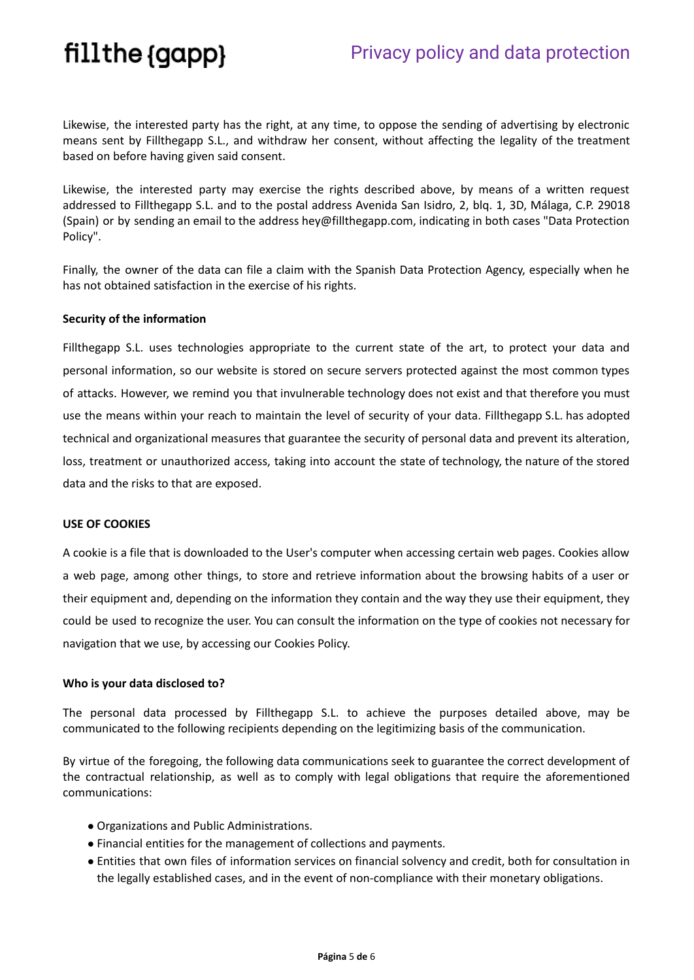Likewise, the interested party has the right, at any time, to oppose the sending of advertising by electronic means sent by Fillthegapp S.L., and withdraw her consent, without affecting the legality of the treatment based on before having given said consent.

Likewise, the interested party may exercise the rights described above, by means of a written request addressed to Fillthegapp S.L. and to the postal address Avenida San Isidro, 2, blq. 1, 3D, Málaga, C.P. 29018 (Spain) or by sending an email to the address hey@fillthegapp.com, indicating in both cases "Data Protection Policy".

Finally, the owner of the data can file a claim with the Spanish Data Protection Agency, especially when he has not obtained satisfaction in the exercise of his rights.

### **Security of the information**

Fillthegapp S.L. uses technologies appropriate to the current state of the art, to protect your data and personal information, so our website is stored on secure servers protected against the most common types of attacks. However, we remind you that invulnerable technology does not exist and that therefore you must use the means within your reach to maintain the level of security of your data. Fillthegapp S.L. has adopted technical and organizational measures that guarantee the security of personal data and prevent its alteration, loss, treatment or unauthorized access, taking into account the state of technology, the nature of the stored data and the risks to that are exposed.

#### **USE OF COOKIES**

A cookie is a file that is downloaded to the User's computer when accessing certain web pages. Cookies allow a web page, among other things, to store and retrieve information about the browsing habits of a user or their equipment and, depending on the information they contain and the way they use their equipment, they could be used to recognize the user. You can consult the information on the type of cookies not necessary for navigation that we use, by accessing our Cookies Policy.

#### **Who is your data disclosed to?**

The personal data processed by Fillthegapp S.L. to achieve the purposes detailed above, may be communicated to the following recipients depending on the legitimizing basis of the communication.

By virtue of the foregoing, the following data communications seek to guarantee the correct development of the contractual relationship, as well as to comply with legal obligations that require the aforementioned communications:

- Organizations and Public Administrations.
- Financial entities for the management of collections and payments.
- Entities that own files of information services on financial solvency and credit, both for consultation in the legally established cases, and in the event of non-compliance with their monetary obligations.